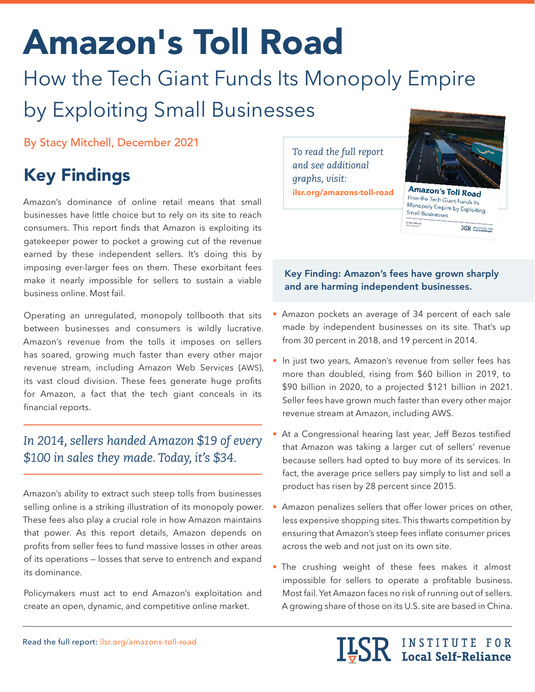# Amazon's Toll Road

# How the Tech Giant Funds Its Monopoly Empire by Exploiting Small Businesses

By Stacy Mitchell, December 2021

# Key Findings

Amazon's dominance of online retail means that small businesses have little choice but to rely on its site to reach consumers. This report finds that Amazon is exploiting its gatekeeper power to pocket a growing cut of the revenue earned by these independent sellers. It's doing this by imposing ever-larger fees on them. These exorbitant fees make it nearly impossible for sellers to sustain a viable business online. Most fail.

Operating an unregulated, monopoly tollbooth that sits between businesses and consumers is wildly lucrative. Amazon's revenue from the tolls it imposes on sellers has soared, growing much faster than every other major revenue stream, including Amazon Web Services (AWS), its vast cloud division. These fees generate huge profits for Amazon, a fact that the tech giant conceals in its financial reports.

## *In 2014, sellers handed Amazon \$19 of every \$100 in sales they made. Today, it's \$34.*

Amazon's ability to extract such steep tolls from businesses selling online is a striking illustration of its monopoly power. These fees also play a crucial role in how Amazon maintains that power. As this report details, Amazon depends on profits from seller fees to fund massive losses in other areas of its operations — losses that serve to entrench and expand its dominance.

Policymakers must act to end Amazon's exploitation and create an open, dynamic, and competitive online market.

*To read the full report and see additional graphs, visit:* **[ilsr.org/amazons-toll-road](http://ilsr.org/amazons-toll-road)**



## Key Finding: Amazon's fees have grown sharply and are harming independent businesses.

- Amazon pockets an average of 34 percent of each sale made by independent businesses on its site. That's up from 30 percent in 2018, and 19 percent in 2014.
- In just two years, Amazon's revenue from seller fees has more than doubled, rising from \$60 billion in 2019, to \$90 billion in 2020, to a projected \$121 billion in 2021. Seller fees have grown much faster than every other major revenue stream at Amazon, including AWS.
- At a Congressional hearing last year, Jeff Bezos testified that Amazon was taking a larger cut of sellers' revenue because sellers had opted to buy more of its services. In fact, the average price sellers pay simply to list and sell a product has risen by 28 percent since 2015.
- Amazon penalizes sellers that offer lower prices on other, less expensive shopping sites. This thwarts competition by ensuring that Amazon's steep fees inflate consumer prices across the web and not just on its own site.
- The crushing weight of these fees makes it almost impossible for sellers to operate a profitable business. Most fail. Yet Amazon faces no risk of running out of sellers. A growing share of those on its U.S. site are based in China.

**ILSR** INSTITUTE FOR